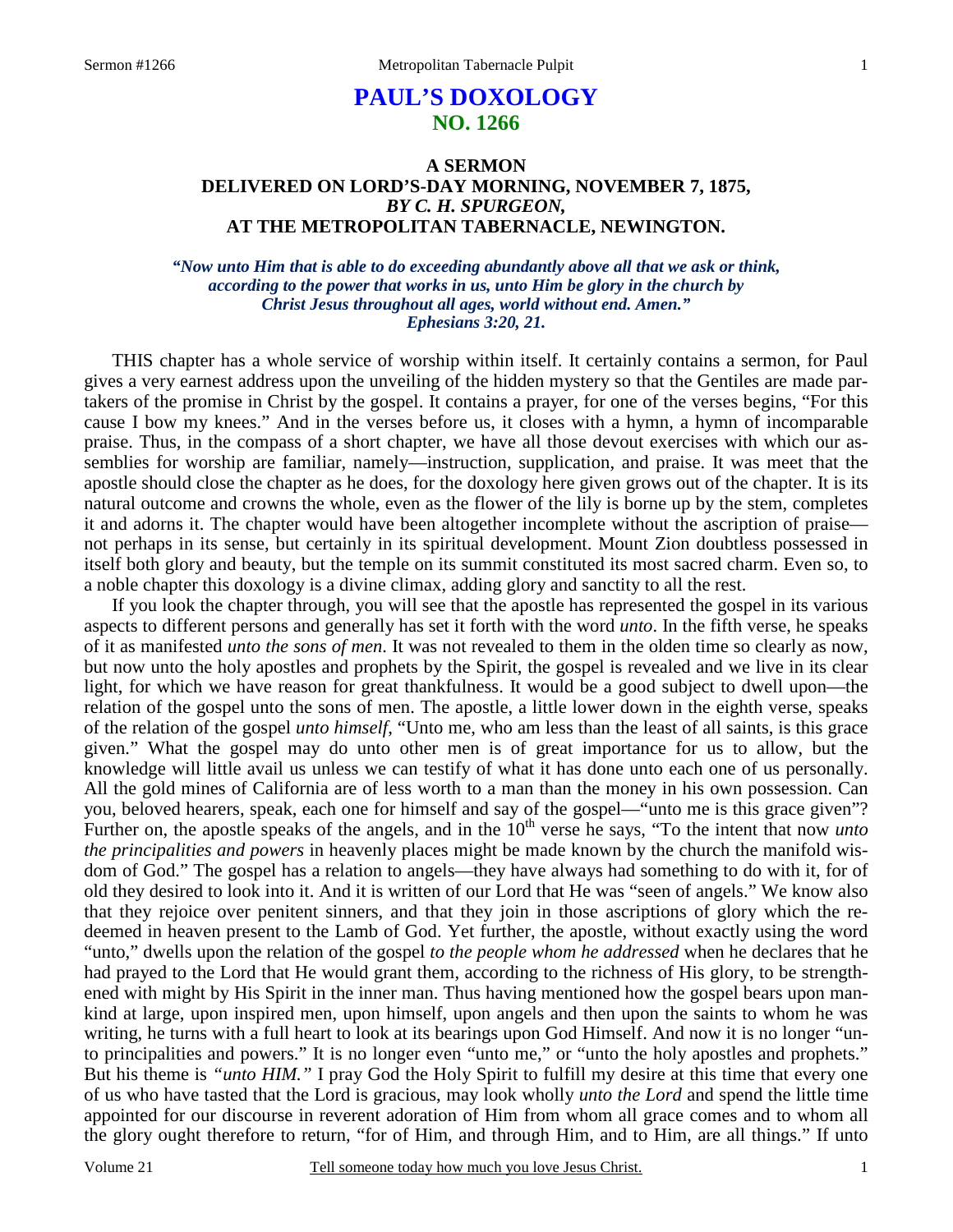# **PAUL'S DOXOLOGY NO. 1266**

# **A SERMON DELIVERED ON LORD'S-DAY MORNING, NOVEMBER 7, 1875,**  *BY C. H. SPURGEON,*  **AT THE METROPOLITAN TABERNACLE, NEWINGTON.**

*"Now unto Him that is able to do exceeding abundantly above all that we ask or think, according to the power that works in us, unto Him be glory in the church by Christ Jesus throughout all ages, world without end. Amen." Ephesians 3:20, 21.* 

THIS chapter has a whole service of worship within itself. It certainly contains a sermon, for Paul gives a very earnest address upon the unveiling of the hidden mystery so that the Gentiles are made partakers of the promise in Christ by the gospel. It contains a prayer, for one of the verses begins, "For this cause I bow my knees." And in the verses before us, it closes with a hymn, a hymn of incomparable praise. Thus, in the compass of a short chapter, we have all those devout exercises with which our assemblies for worship are familiar, namely—instruction, supplication, and praise. It was meet that the apostle should close the chapter as he does, for the doxology here given grows out of the chapter. It is its natural outcome and crowns the whole, even as the flower of the lily is borne up by the stem, completes it and adorns it. The chapter would have been altogether incomplete without the ascription of praise not perhaps in its sense, but certainly in its spiritual development. Mount Zion doubtless possessed in itself both glory and beauty, but the temple on its summit constituted its most sacred charm. Even so, to a noble chapter this doxology is a divine climax, adding glory and sanctity to all the rest.

 If you look the chapter through, you will see that the apostle has represented the gospel in its various aspects to different persons and generally has set it forth with the word *unto*. In the fifth verse, he speaks of it as manifested *unto the sons of men*. It was not revealed to them in the olden time so clearly as now, but now unto the holy apostles and prophets by the Spirit, the gospel is revealed and we live in its clear light, for which we have reason for great thankfulness. It would be a good subject to dwell upon—the relation of the gospel unto the sons of men. The apostle, a little lower down in the eighth verse, speaks of the relation of the gospel *unto himself*, "Unto me, who am less than the least of all saints, is this grace given." What the gospel may do unto other men is of great importance for us to allow, but the knowledge will little avail us unless we can testify of what it has done unto each one of us personally. All the gold mines of California are of less worth to a man than the money in his own possession. Can you, beloved hearers, speak, each one for himself and say of the gospel—"unto me is this grace given"? Further on, the apostle speaks of the angels, and in the 10<sup>th</sup> verse he says, "To the intent that now *unto the principalities and powers* in heavenly places might be made known by the church the manifold wisdom of God." The gospel has a relation to angels—they have always had something to do with it, for of old they desired to look into it. And it is written of our Lord that He was "seen of angels." We know also that they rejoice over penitent sinners, and that they join in those ascriptions of glory which the redeemed in heaven present to the Lamb of God. Yet further, the apostle, without exactly using the word "unto," dwells upon the relation of the gospel *to the people whom he addressed* when he declares that he had prayed to the Lord that He would grant them, according to the richness of His glory, to be strengthened with might by His Spirit in the inner man. Thus having mentioned how the gospel bears upon mankind at large, upon inspired men, upon himself, upon angels and then upon the saints to whom he was writing, he turns with a full heart to look at its bearings upon God Himself. And now it is no longer "unto principalities and powers." It is no longer even "unto me," or "unto the holy apostles and prophets." But his theme is *"unto HIM."* I pray God the Holy Spirit to fulfill my desire at this time that every one of us who have tasted that the Lord is gracious, may look wholly *unto the Lord* and spend the little time appointed for our discourse in reverent adoration of Him from whom all grace comes and to whom all the glory ought therefore to return, "for of Him, and through Him, and to Him, are all things." If unto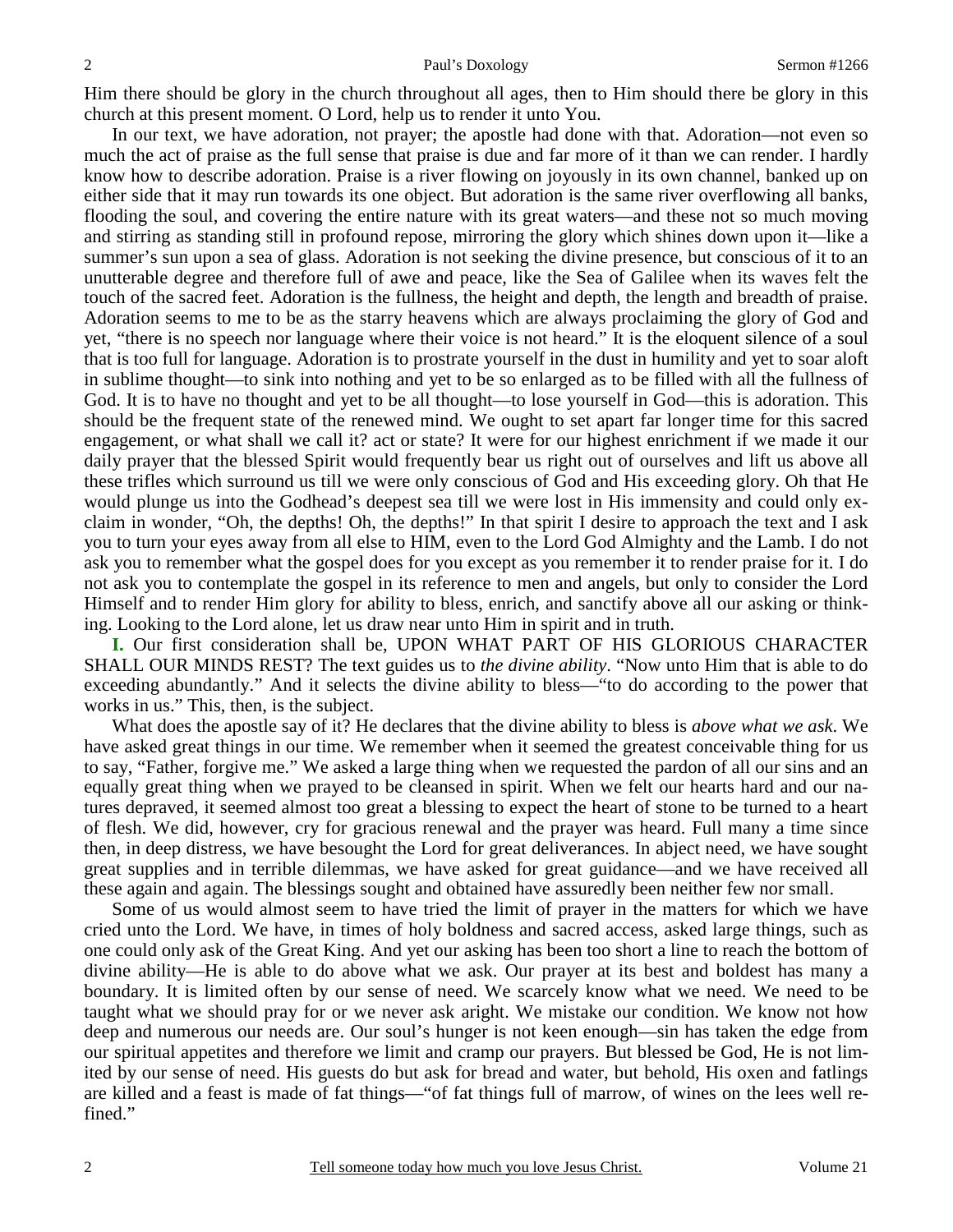Him there should be glory in the church throughout all ages, then to Him should there be glory in this church at this present moment. O Lord, help us to render it unto You.

 In our text, we have adoration, not prayer; the apostle had done with that. Adoration—not even so much the act of praise as the full sense that praise is due and far more of it than we can render. I hardly know how to describe adoration. Praise is a river flowing on joyously in its own channel, banked up on either side that it may run towards its one object. But adoration is the same river overflowing all banks, flooding the soul, and covering the entire nature with its great waters—and these not so much moving and stirring as standing still in profound repose, mirroring the glory which shines down upon it—like a summer's sun upon a sea of glass. Adoration is not seeking the divine presence, but conscious of it to an unutterable degree and therefore full of awe and peace, like the Sea of Galilee when its waves felt the touch of the sacred feet. Adoration is the fullness, the height and depth, the length and breadth of praise. Adoration seems to me to be as the starry heavens which are always proclaiming the glory of God and yet, "there is no speech nor language where their voice is not heard." It is the eloquent silence of a soul that is too full for language. Adoration is to prostrate yourself in the dust in humility and yet to soar aloft in sublime thought—to sink into nothing and yet to be so enlarged as to be filled with all the fullness of God. It is to have no thought and yet to be all thought—to lose yourself in God—this is adoration. This should be the frequent state of the renewed mind. We ought to set apart far longer time for this sacred engagement, or what shall we call it? act or state? It were for our highest enrichment if we made it our daily prayer that the blessed Spirit would frequently bear us right out of ourselves and lift us above all these trifles which surround us till we were only conscious of God and His exceeding glory. Oh that He would plunge us into the Godhead's deepest sea till we were lost in His immensity and could only exclaim in wonder, "Oh, the depths! Oh, the depths!" In that spirit I desire to approach the text and I ask you to turn your eyes away from all else to HIM, even to the Lord God Almighty and the Lamb. I do not ask you to remember what the gospel does for you except as you remember it to render praise for it. I do not ask you to contemplate the gospel in its reference to men and angels, but only to consider the Lord Himself and to render Him glory for ability to bless, enrich, and sanctify above all our asking or thinking. Looking to the Lord alone, let us draw near unto Him in spirit and in truth.

**I.** Our first consideration shall be, UPON WHAT PART OF HIS GLORIOUS CHARACTER SHALL OUR MINDS REST? The text guides us to *the divine ability*. "Now unto Him that is able to do exceeding abundantly." And it selects the divine ability to bless—"to do according to the power that works in us." This, then, is the subject.

 What does the apostle say of it? He declares that the divine ability to bless is *above what we ask*. We have asked great things in our time. We remember when it seemed the greatest conceivable thing for us to say, "Father, forgive me." We asked a large thing when we requested the pardon of all our sins and an equally great thing when we prayed to be cleansed in spirit. When we felt our hearts hard and our natures depraved, it seemed almost too great a blessing to expect the heart of stone to be turned to a heart of flesh. We did, however, cry for gracious renewal and the prayer was heard. Full many a time since then, in deep distress, we have besought the Lord for great deliverances. In abject need, we have sought great supplies and in terrible dilemmas, we have asked for great guidance—and we have received all these again and again. The blessings sought and obtained have assuredly been neither few nor small.

 Some of us would almost seem to have tried the limit of prayer in the matters for which we have cried unto the Lord. We have, in times of holy boldness and sacred access, asked large things, such as one could only ask of the Great King. And yet our asking has been too short a line to reach the bottom of divine ability—He is able to do above what we ask. Our prayer at its best and boldest has many a boundary. It is limited often by our sense of need. We scarcely know what we need. We need to be taught what we should pray for or we never ask aright. We mistake our condition. We know not how deep and numerous our needs are. Our soul's hunger is not keen enough—sin has taken the edge from our spiritual appetites and therefore we limit and cramp our prayers. But blessed be God, He is not limited by our sense of need. His guests do but ask for bread and water, but behold, His oxen and fatlings are killed and a feast is made of fat things—"of fat things full of marrow, of wines on the lees well refined."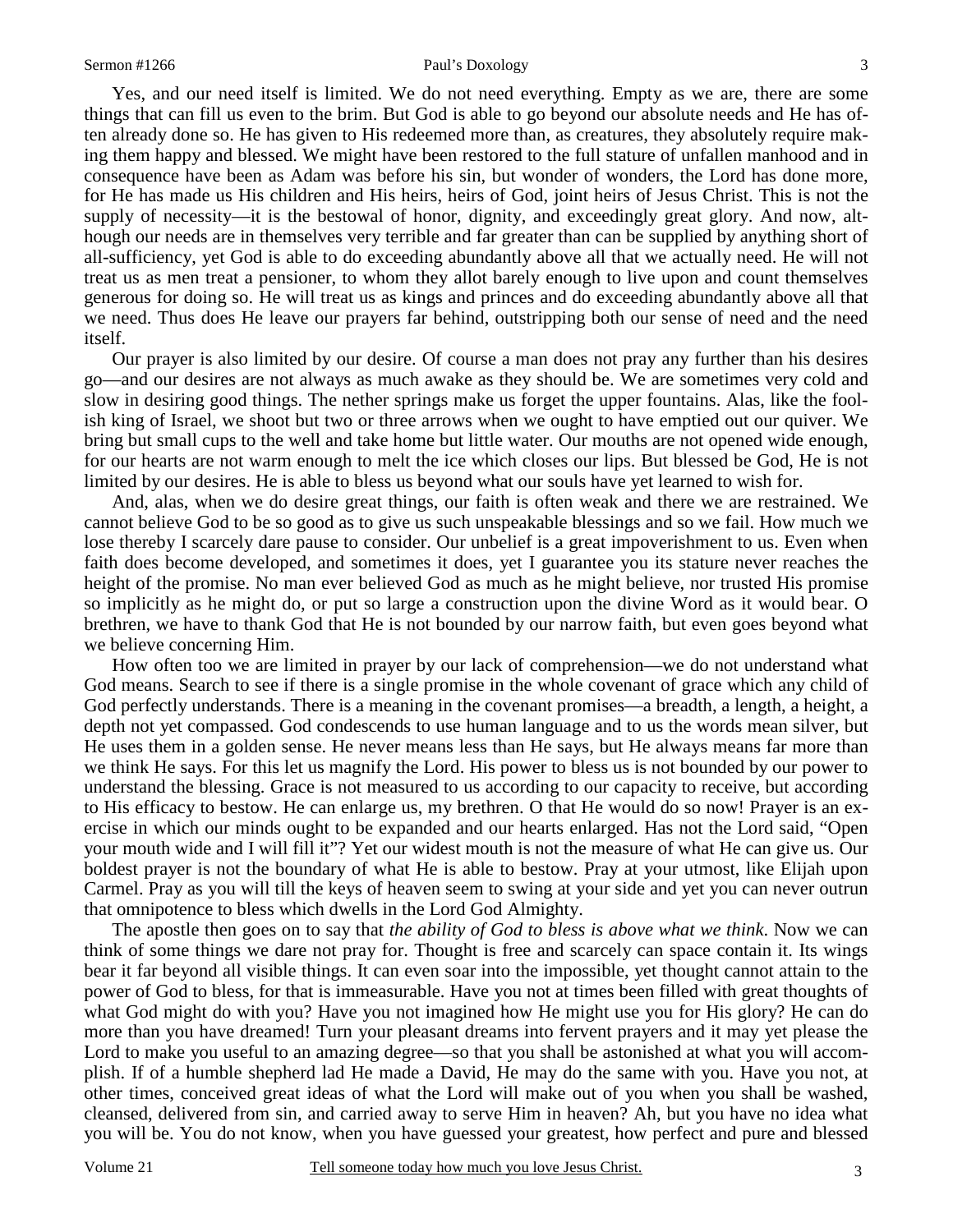#### Sermon #1266 Paul's Doxology

 Yes, and our need itself is limited. We do not need everything. Empty as we are, there are some things that can fill us even to the brim. But God is able to go beyond our absolute needs and He has often already done so. He has given to His redeemed more than, as creatures, they absolutely require making them happy and blessed. We might have been restored to the full stature of unfallen manhood and in consequence have been as Adam was before his sin, but wonder of wonders, the Lord has done more, for He has made us His children and His heirs, heirs of God, joint heirs of Jesus Christ. This is not the supply of necessity—it is the bestowal of honor, dignity, and exceedingly great glory. And now, although our needs are in themselves very terrible and far greater than can be supplied by anything short of all-sufficiency, yet God is able to do exceeding abundantly above all that we actually need. He will not treat us as men treat a pensioner, to whom they allot barely enough to live upon and count themselves generous for doing so. He will treat us as kings and princes and do exceeding abundantly above all that we need. Thus does He leave our prayers far behind, outstripping both our sense of need and the need itself.

 Our prayer is also limited by our desire. Of course a man does not pray any further than his desires go—and our desires are not always as much awake as they should be. We are sometimes very cold and slow in desiring good things. The nether springs make us forget the upper fountains. Alas, like the foolish king of Israel, we shoot but two or three arrows when we ought to have emptied out our quiver. We bring but small cups to the well and take home but little water. Our mouths are not opened wide enough, for our hearts are not warm enough to melt the ice which closes our lips. But blessed be God, He is not limited by our desires. He is able to bless us beyond what our souls have yet learned to wish for.

 And, alas, when we do desire great things, our faith is often weak and there we are restrained. We cannot believe God to be so good as to give us such unspeakable blessings and so we fail. How much we lose thereby I scarcely dare pause to consider. Our unbelief is a great impoverishment to us. Even when faith does become developed, and sometimes it does, yet I guarantee you its stature never reaches the height of the promise. No man ever believed God as much as he might believe, nor trusted His promise so implicitly as he might do, or put so large a construction upon the divine Word as it would bear. O brethren, we have to thank God that He is not bounded by our narrow faith, but even goes beyond what we believe concerning Him.

 How often too we are limited in prayer by our lack of comprehension—we do not understand what God means. Search to see if there is a single promise in the whole covenant of grace which any child of God perfectly understands. There is a meaning in the covenant promises—a breadth, a length, a height, a depth not yet compassed. God condescends to use human language and to us the words mean silver, but He uses them in a golden sense. He never means less than He says, but He always means far more than we think He says. For this let us magnify the Lord. His power to bless us is not bounded by our power to understand the blessing. Grace is not measured to us according to our capacity to receive, but according to His efficacy to bestow. He can enlarge us, my brethren. O that He would do so now! Prayer is an exercise in which our minds ought to be expanded and our hearts enlarged. Has not the Lord said, "Open your mouth wide and I will fill it"? Yet our widest mouth is not the measure of what He can give us. Our boldest prayer is not the boundary of what He is able to bestow. Pray at your utmost, like Elijah upon Carmel. Pray as you will till the keys of heaven seem to swing at your side and yet you can never outrun that omnipotence to bless which dwells in the Lord God Almighty.

 The apostle then goes on to say that *the ability of God to bless is above what we think*. Now we can think of some things we dare not pray for. Thought is free and scarcely can space contain it. Its wings bear it far beyond all visible things. It can even soar into the impossible, yet thought cannot attain to the power of God to bless, for that is immeasurable. Have you not at times been filled with great thoughts of what God might do with you? Have you not imagined how He might use you for His glory? He can do more than you have dreamed! Turn your pleasant dreams into fervent prayers and it may yet please the Lord to make you useful to an amazing degree—so that you shall be astonished at what you will accomplish. If of a humble shepherd lad He made a David, He may do the same with you. Have you not, at other times, conceived great ideas of what the Lord will make out of you when you shall be washed, cleansed, delivered from sin, and carried away to serve Him in heaven? Ah, but you have no idea what you will be. You do not know, when you have guessed your greatest, how perfect and pure and blessed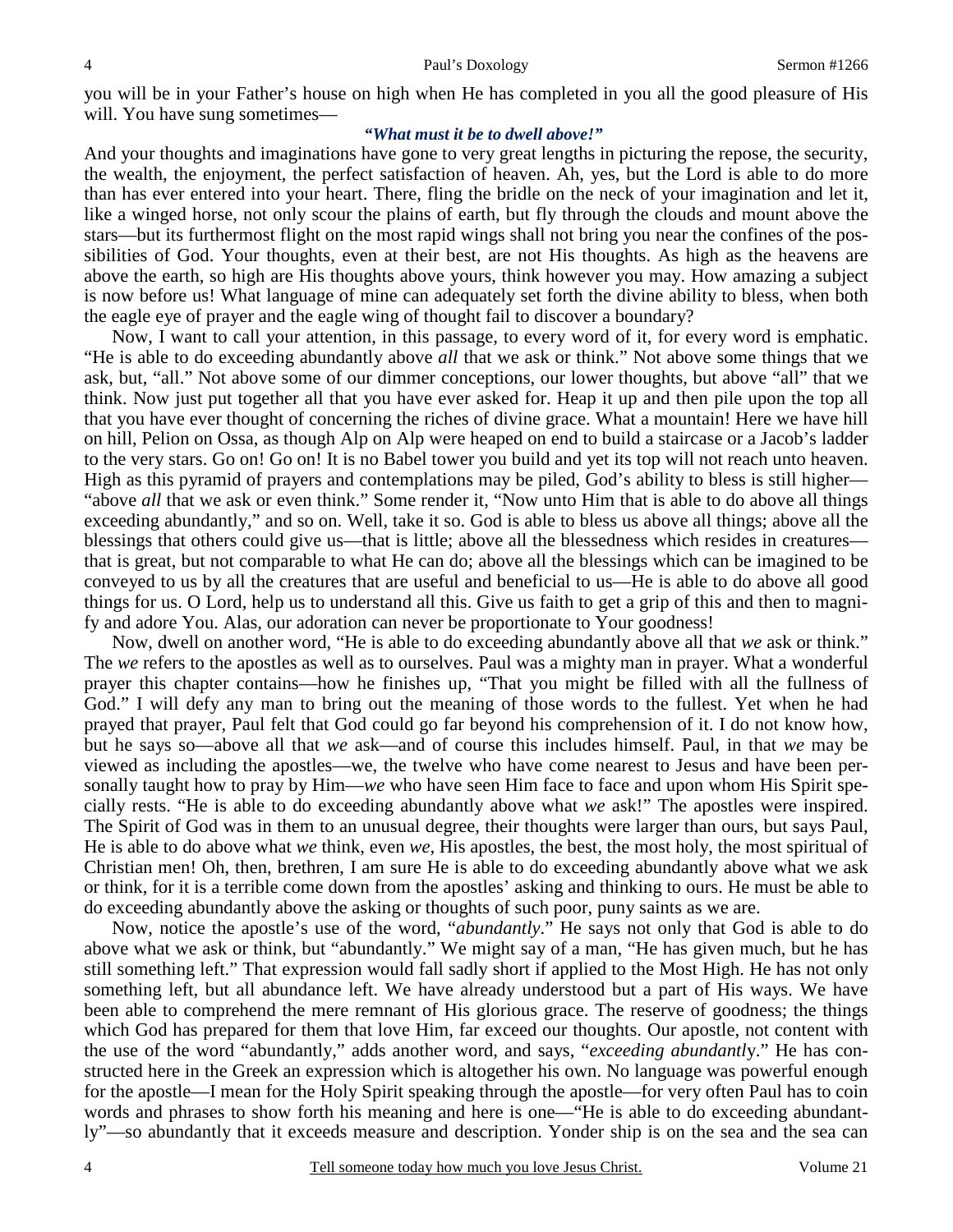you will be in your Father's house on high when He has completed in you all the good pleasure of His will. You have sung sometimes—

### *"What must it be to dwell above!"*

And your thoughts and imaginations have gone to very great lengths in picturing the repose, the security, the wealth, the enjoyment, the perfect satisfaction of heaven. Ah, yes, but the Lord is able to do more than has ever entered into your heart. There, fling the bridle on the neck of your imagination and let it, like a winged horse, not only scour the plains of earth, but fly through the clouds and mount above the stars—but its furthermost flight on the most rapid wings shall not bring you near the confines of the possibilities of God. Your thoughts, even at their best, are not His thoughts. As high as the heavens are above the earth, so high are His thoughts above yours, think however you may. How amazing a subject is now before us! What language of mine can adequately set forth the divine ability to bless, when both the eagle eye of prayer and the eagle wing of thought fail to discover a boundary?

 Now, I want to call your attention, in this passage, to every word of it, for every word is emphatic. "He is able to do exceeding abundantly above *all* that we ask or think." Not above some things that we ask, but, "all." Not above some of our dimmer conceptions, our lower thoughts, but above "all" that we think. Now just put together all that you have ever asked for. Heap it up and then pile upon the top all that you have ever thought of concerning the riches of divine grace. What a mountain! Here we have hill on hill, Pelion on Ossa, as though Alp on Alp were heaped on end to build a staircase or a Jacob's ladder to the very stars. Go on! Go on! It is no Babel tower you build and yet its top will not reach unto heaven. High as this pyramid of prayers and contemplations may be piled, God's ability to bless is still higher— "above *all* that we ask or even think." Some render it, "Now unto Him that is able to do above all things exceeding abundantly," and so on. Well, take it so. God is able to bless us above all things; above all the blessings that others could give us—that is little; above all the blessedness which resides in creatures that is great, but not comparable to what He can do; above all the blessings which can be imagined to be conveyed to us by all the creatures that are useful and beneficial to us—He is able to do above all good things for us. O Lord, help us to understand all this. Give us faith to get a grip of this and then to magnify and adore You. Alas, our adoration can never be proportionate to Your goodness!

 Now, dwell on another word, "He is able to do exceeding abundantly above all that *we* ask or think." The *we* refers to the apostles as well as to ourselves. Paul was a mighty man in prayer. What a wonderful prayer this chapter contains—how he finishes up, "That you might be filled with all the fullness of God." I will defy any man to bring out the meaning of those words to the fullest. Yet when he had prayed that prayer, Paul felt that God could go far beyond his comprehension of it. I do not know how, but he says so—above all that *we* ask—and of course this includes himself. Paul, in that *we* may be viewed as including the apostles—we, the twelve who have come nearest to Jesus and have been personally taught how to pray by Him—*we* who have seen Him face to face and upon whom His Spirit specially rests. "He is able to do exceeding abundantly above what *we* ask!" The apostles were inspired. The Spirit of God was in them to an unusual degree, their thoughts were larger than ours, but says Paul, He is able to do above what *we* think, even *we,* His apostles, the best, the most holy, the most spiritual of Christian men! Oh, then, brethren, I am sure He is able to do exceeding abundantly above what we ask or think, for it is a terrible come down from the apostles' asking and thinking to ours. He must be able to do exceeding abundantly above the asking or thoughts of such poor, puny saints as we are.

 Now, notice the apostle's use of the word, "*abundantly*." He says not only that God is able to do above what we ask or think, but "abundantly." We might say of a man, "He has given much, but he has still something left." That expression would fall sadly short if applied to the Most High. He has not only something left, but all abundance left. We have already understood but a part of His ways. We have been able to comprehend the mere remnant of His glorious grace. The reserve of goodness; the things which God has prepared for them that love Him, far exceed our thoughts. Our apostle, not content with the use of the word "abundantly," adds another word, and says, "*exceeding abundantl*y." He has constructed here in the Greek an expression which is altogether his own. No language was powerful enough for the apostle—I mean for the Holy Spirit speaking through the apostle—for very often Paul has to coin words and phrases to show forth his meaning and here is one—"He is able to do exceeding abundantly"—so abundantly that it exceeds measure and description. Yonder ship is on the sea and the sea can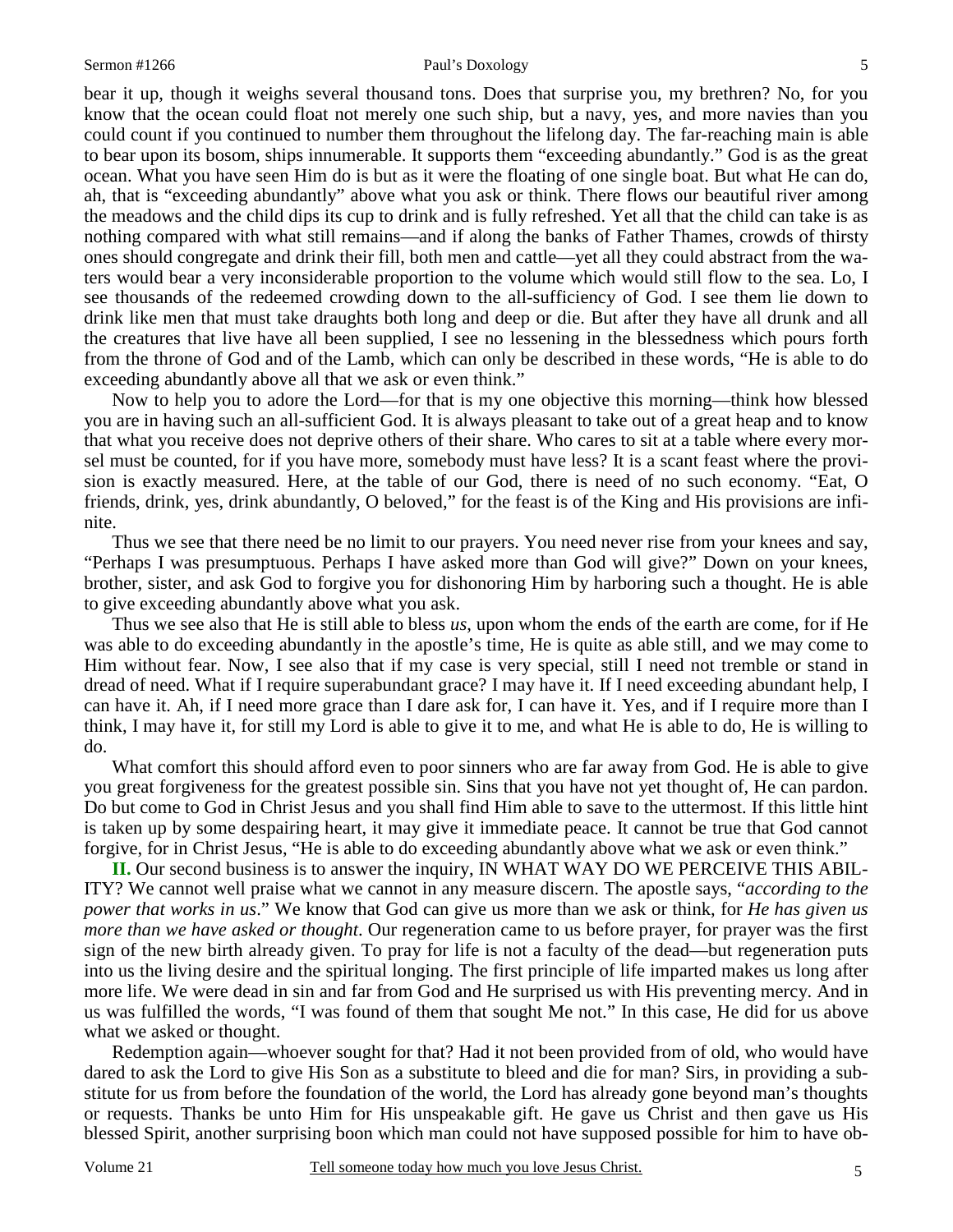bear it up, though it weighs several thousand tons. Does that surprise you, my brethren? No, for you know that the ocean could float not merely one such ship, but a navy, yes, and more navies than you could count if you continued to number them throughout the lifelong day. The far-reaching main is able to bear upon its bosom, ships innumerable. It supports them "exceeding abundantly." God is as the great ocean. What you have seen Him do is but as it were the floating of one single boat. But what He can do, ah, that is "exceeding abundantly" above what you ask or think. There flows our beautiful river among the meadows and the child dips its cup to drink and is fully refreshed. Yet all that the child can take is as nothing compared with what still remains—and if along the banks of Father Thames, crowds of thirsty ones should congregate and drink their fill, both men and cattle—yet all they could abstract from the waters would bear a very inconsiderable proportion to the volume which would still flow to the sea. Lo, I see thousands of the redeemed crowding down to the all-sufficiency of God. I see them lie down to drink like men that must take draughts both long and deep or die. But after they have all drunk and all the creatures that live have all been supplied, I see no lessening in the blessedness which pours forth from the throne of God and of the Lamb, which can only be described in these words, "He is able to do exceeding abundantly above all that we ask or even think."

 Now to help you to adore the Lord—for that is my one objective this morning—think how blessed you are in having such an all-sufficient God. It is always pleasant to take out of a great heap and to know that what you receive does not deprive others of their share. Who cares to sit at a table where every morsel must be counted, for if you have more, somebody must have less? It is a scant feast where the provision is exactly measured. Here, at the table of our God, there is need of no such economy. "Eat, O friends, drink, yes, drink abundantly, O beloved," for the feast is of the King and His provisions are infinite.

 Thus we see that there need be no limit to our prayers. You need never rise from your knees and say, "Perhaps I was presumptuous. Perhaps I have asked more than God will give?" Down on your knees, brother, sister, and ask God to forgive you for dishonoring Him by harboring such a thought. He is able to give exceeding abundantly above what you ask.

 Thus we see also that He is still able to bless *us*, upon whom the ends of the earth are come, for if He was able to do exceeding abundantly in the apostle's time, He is quite as able still, and we may come to Him without fear. Now, I see also that if my case is very special, still I need not tremble or stand in dread of need. What if I require superabundant grace? I may have it. If I need exceeding abundant help, I can have it. Ah, if I need more grace than I dare ask for, I can have it. Yes, and if I require more than I think, I may have it, for still my Lord is able to give it to me, and what He is able to do, He is willing to do.

 What comfort this should afford even to poor sinners who are far away from God. He is able to give you great forgiveness for the greatest possible sin. Sins that you have not yet thought of, He can pardon. Do but come to God in Christ Jesus and you shall find Him able to save to the uttermost. If this little hint is taken up by some despairing heart, it may give it immediate peace. It cannot be true that God cannot forgive, for in Christ Jesus, "He is able to do exceeding abundantly above what we ask or even think."

**II.** Our second business is to answer the inquiry, IN WHAT WAY DO WE PERCEIVE THIS ABIL-ITY? We cannot well praise what we cannot in any measure discern. The apostle says, "*according to the power that works in us*." We know that God can give us more than we ask or think, for *He has given us more than we have asked or thought*. Our regeneration came to us before prayer, for prayer was the first sign of the new birth already given. To pray for life is not a faculty of the dead—but regeneration puts into us the living desire and the spiritual longing. The first principle of life imparted makes us long after more life. We were dead in sin and far from God and He surprised us with His preventing mercy. And in us was fulfilled the words, "I was found of them that sought Me not." In this case, He did for us above what we asked or thought.

 Redemption again—whoever sought for that? Had it not been provided from of old, who would have dared to ask the Lord to give His Son as a substitute to bleed and die for man? Sirs, in providing a substitute for us from before the foundation of the world, the Lord has already gone beyond man's thoughts or requests. Thanks be unto Him for His unspeakable gift. He gave us Christ and then gave us His blessed Spirit, another surprising boon which man could not have supposed possible for him to have ob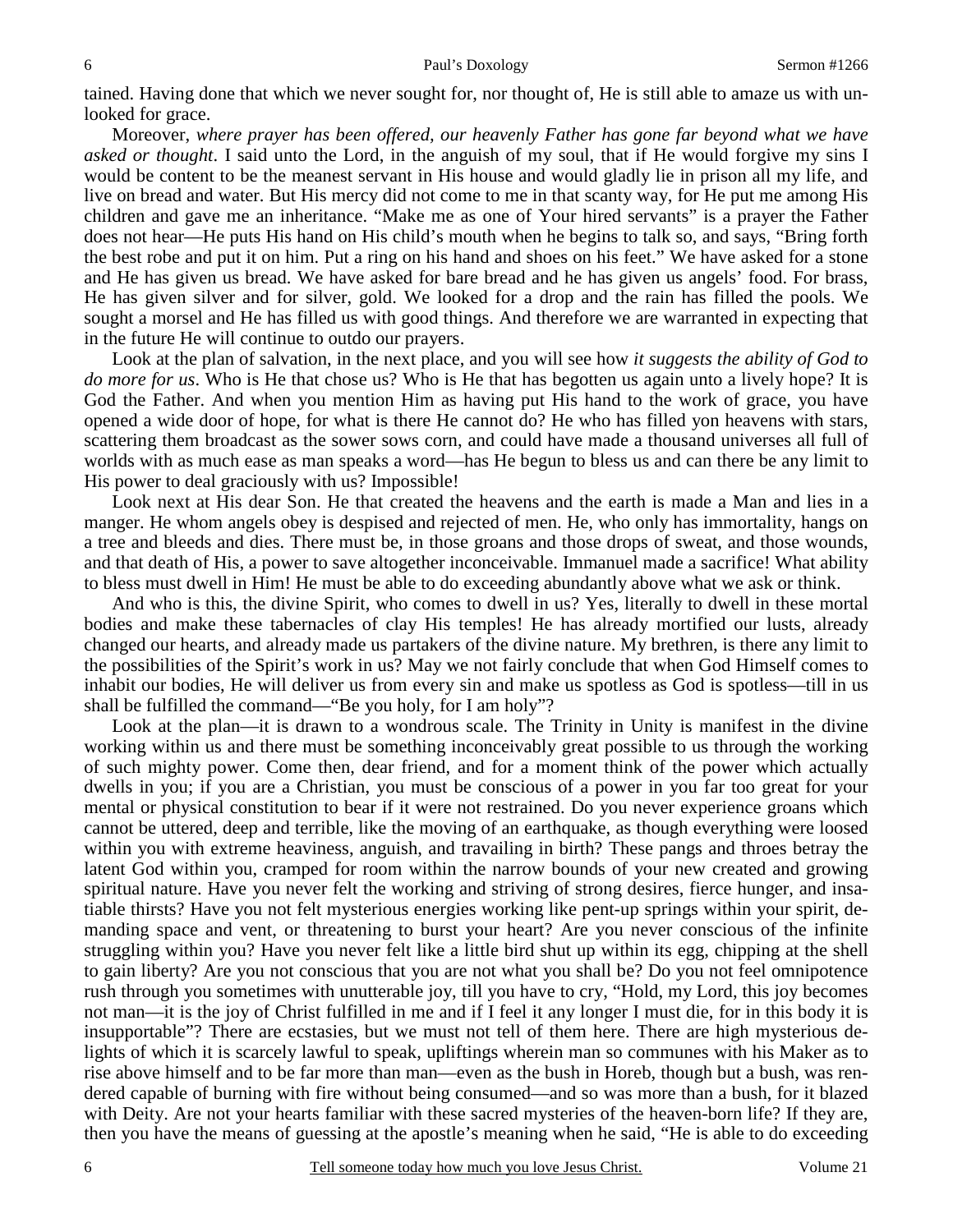tained. Having done that which we never sought for, nor thought of, He is still able to amaze us with unlooked for grace.

 Moreover, *where prayer has been offered, our heavenly Father has gone far beyond what we have asked or thought*. I said unto the Lord, in the anguish of my soul, that if He would forgive my sins I would be content to be the meanest servant in His house and would gladly lie in prison all my life, and live on bread and water. But His mercy did not come to me in that scanty way, for He put me among His children and gave me an inheritance. "Make me as one of Your hired servants" is a prayer the Father does not hear—He puts His hand on His child's mouth when he begins to talk so, and says, "Bring forth the best robe and put it on him. Put a ring on his hand and shoes on his feet." We have asked for a stone and He has given us bread. We have asked for bare bread and he has given us angels' food. For brass, He has given silver and for silver, gold. We looked for a drop and the rain has filled the pools. We sought a morsel and He has filled us with good things. And therefore we are warranted in expecting that in the future He will continue to outdo our prayers.

 Look at the plan of salvation, in the next place, and you will see how *it suggests the ability of God to do more for us*. Who is He that chose us? Who is He that has begotten us again unto a lively hope? It is God the Father. And when you mention Him as having put His hand to the work of grace, you have opened a wide door of hope, for what is there He cannot do? He who has filled yon heavens with stars, scattering them broadcast as the sower sows corn, and could have made a thousand universes all full of worlds with as much ease as man speaks a word—has He begun to bless us and can there be any limit to His power to deal graciously with us? Impossible!

 Look next at His dear Son. He that created the heavens and the earth is made a Man and lies in a manger. He whom angels obey is despised and rejected of men. He, who only has immortality, hangs on a tree and bleeds and dies. There must be, in those groans and those drops of sweat, and those wounds, and that death of His, a power to save altogether inconceivable. Immanuel made a sacrifice! What ability to bless must dwell in Him! He must be able to do exceeding abundantly above what we ask or think.

 And who is this, the divine Spirit, who comes to dwell in us? Yes, literally to dwell in these mortal bodies and make these tabernacles of clay His temples! He has already mortified our lusts, already changed our hearts, and already made us partakers of the divine nature. My brethren, is there any limit to the possibilities of the Spirit's work in us? May we not fairly conclude that when God Himself comes to inhabit our bodies, He will deliver us from every sin and make us spotless as God is spotless—till in us shall be fulfilled the command—"Be you holy, for I am holy"?

 Look at the plan—it is drawn to a wondrous scale. The Trinity in Unity is manifest in the divine working within us and there must be something inconceivably great possible to us through the working of such mighty power. Come then, dear friend, and for a moment think of the power which actually dwells in you; if you are a Christian, you must be conscious of a power in you far too great for your mental or physical constitution to bear if it were not restrained. Do you never experience groans which cannot be uttered, deep and terrible, like the moving of an earthquake, as though everything were loosed within you with extreme heaviness, anguish, and travailing in birth? These pangs and throes betray the latent God within you, cramped for room within the narrow bounds of your new created and growing spiritual nature. Have you never felt the working and striving of strong desires, fierce hunger, and insatiable thirsts? Have you not felt mysterious energies working like pent-up springs within your spirit, demanding space and vent, or threatening to burst your heart? Are you never conscious of the infinite struggling within you? Have you never felt like a little bird shut up within its egg, chipping at the shell to gain liberty? Are you not conscious that you are not what you shall be? Do you not feel omnipotence rush through you sometimes with unutterable joy, till you have to cry, "Hold, my Lord, this joy becomes not man—it is the joy of Christ fulfilled in me and if I feel it any longer I must die, for in this body it is insupportable"? There are ecstasies, but we must not tell of them here. There are high mysterious delights of which it is scarcely lawful to speak, upliftings wherein man so communes with his Maker as to rise above himself and to be far more than man—even as the bush in Horeb, though but a bush, was rendered capable of burning with fire without being consumed—and so was more than a bush, for it blazed with Deity. Are not your hearts familiar with these sacred mysteries of the heaven-born life? If they are, then you have the means of guessing at the apostle's meaning when he said, "He is able to do exceeding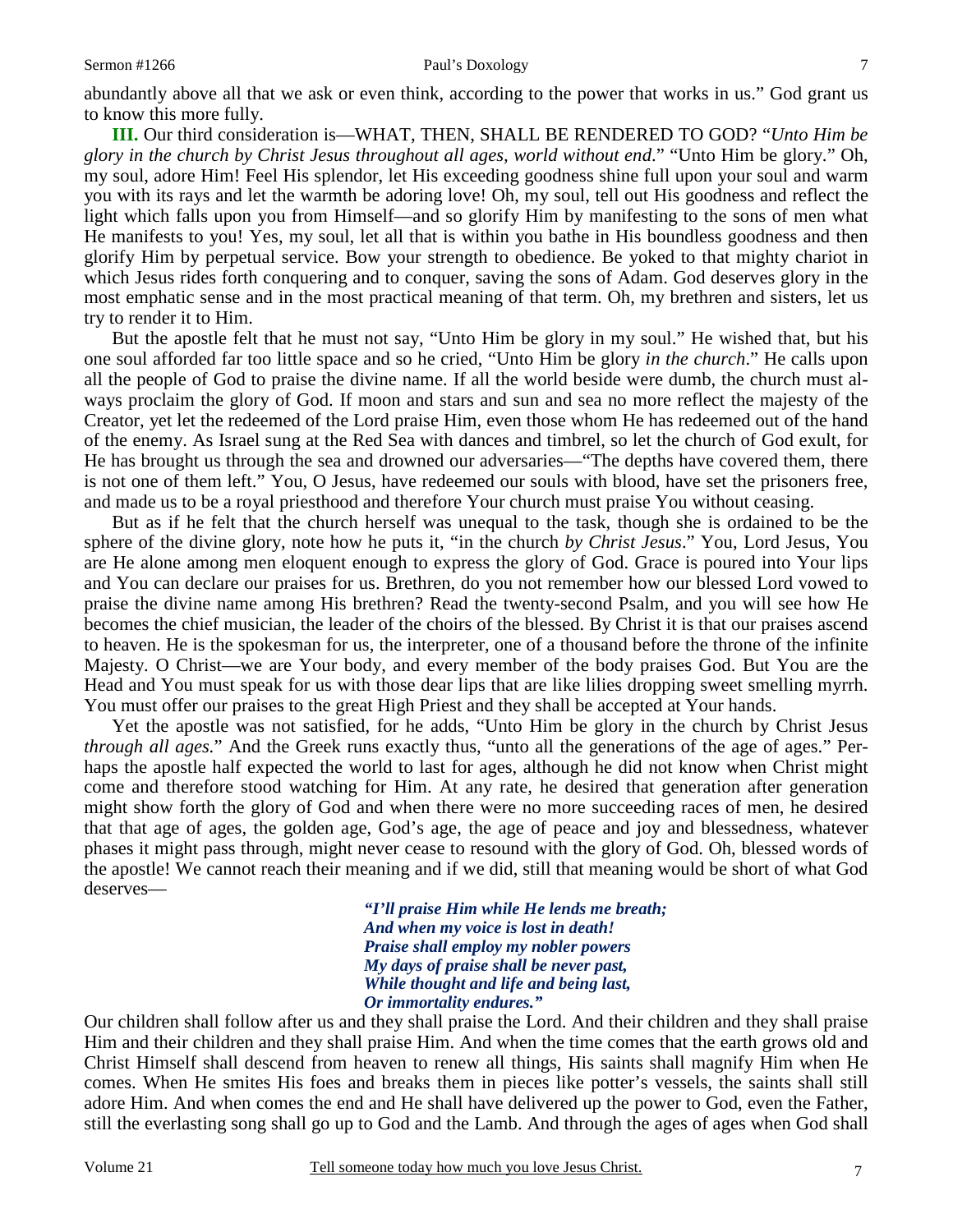abundantly above all that we ask or even think, according to the power that works in us." God grant us to know this more fully.

**III.** Our third consideration is—WHAT, THEN, SHALL BE RENDERED TO GOD? "*Unto Him be glory in the church by Christ Jesus throughout all ages, world without end*." "Unto Him be glory." Oh, my soul, adore Him! Feel His splendor, let His exceeding goodness shine full upon your soul and warm you with its rays and let the warmth be adoring love! Oh, my soul, tell out His goodness and reflect the light which falls upon you from Himself—and so glorify Him by manifesting to the sons of men what He manifests to you! Yes, my soul, let all that is within you bathe in His boundless goodness and then glorify Him by perpetual service. Bow your strength to obedience. Be yoked to that mighty chariot in which Jesus rides forth conquering and to conquer, saving the sons of Adam. God deserves glory in the most emphatic sense and in the most practical meaning of that term. Oh, my brethren and sisters, let us try to render it to Him.

 But the apostle felt that he must not say, "Unto Him be glory in my soul." He wished that, but his one soul afforded far too little space and so he cried, "Unto Him be glory *in the church*." He calls upon all the people of God to praise the divine name. If all the world beside were dumb, the church must always proclaim the glory of God. If moon and stars and sun and sea no more reflect the majesty of the Creator, yet let the redeemed of the Lord praise Him, even those whom He has redeemed out of the hand of the enemy. As Israel sung at the Red Sea with dances and timbrel, so let the church of God exult, for He has brought us through the sea and drowned our adversaries—"The depths have covered them, there is not one of them left." You, O Jesus, have redeemed our souls with blood, have set the prisoners free, and made us to be a royal priesthood and therefore Your church must praise You without ceasing.

 But as if he felt that the church herself was unequal to the task, though she is ordained to be the sphere of the divine glory, note how he puts it, "in the church *by Christ Jesus*." You, Lord Jesus, You are He alone among men eloquent enough to express the glory of God. Grace is poured into Your lips and You can declare our praises for us. Brethren, do you not remember how our blessed Lord vowed to praise the divine name among His brethren? Read the twenty-second Psalm, and you will see how He becomes the chief musician, the leader of the choirs of the blessed. By Christ it is that our praises ascend to heaven. He is the spokesman for us, the interpreter, one of a thousand before the throne of the infinite Majesty. O Christ—we are Your body, and every member of the body praises God. But You are the Head and You must speak for us with those dear lips that are like lilies dropping sweet smelling myrrh. You must offer our praises to the great High Priest and they shall be accepted at Your hands.

 Yet the apostle was not satisfied, for he adds, "Unto Him be glory in the church by Christ Jesus *through all ages.*" And the Greek runs exactly thus, "unto all the generations of the age of ages." Perhaps the apostle half expected the world to last for ages, although he did not know when Christ might come and therefore stood watching for Him. At any rate, he desired that generation after generation might show forth the glory of God and when there were no more succeeding races of men, he desired that that age of ages, the golden age, God's age, the age of peace and joy and blessedness, whatever phases it might pass through, might never cease to resound with the glory of God. Oh, blessed words of the apostle! We cannot reach their meaning and if we did, still that meaning would be short of what God deserves—

> *"I'll praise Him while He lends me breath; And when my voice is lost in death! Praise shall employ my nobler powers My days of praise shall be never past, While thought and life and being last, Or immortality endures."*

Our children shall follow after us and they shall praise the Lord. And their children and they shall praise Him and their children and they shall praise Him. And when the time comes that the earth grows old and Christ Himself shall descend from heaven to renew all things, His saints shall magnify Him when He comes. When He smites His foes and breaks them in pieces like potter's vessels, the saints shall still adore Him. And when comes the end and He shall have delivered up the power to God, even the Father, still the everlasting song shall go up to God and the Lamb. And through the ages of ages when God shall